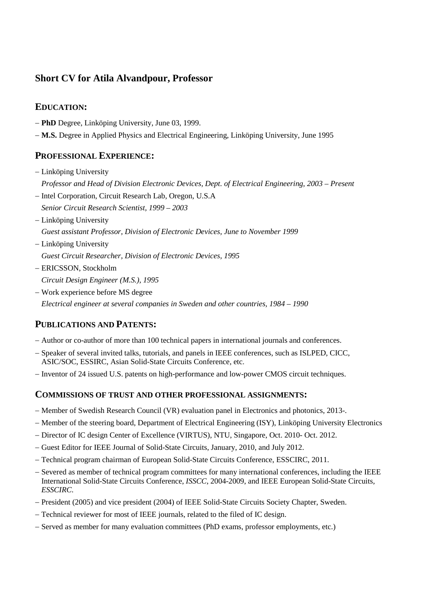# **Short CV for Atila Alvandpour, Professor**

## **EDUCATION:**

- − **PhD** Degree, Linköping University, June 03, 1999.
- − **M.S.** Degree in Applied Physics and Electrical Engineering, Linköping University, June 1995

# **PROFESSIONAL EXPERIENCE:**

- − Linköping University *Professor and Head of Division Electronic Devices, Dept. of Electrical Engineering, 2003 – Present* − Intel Corporation, Circuit Research Lab, Oregon, U.S.A *Senior Circuit Research Scientist, 1999 – 2003*
- − Linköping University *Guest assistant Professor, Division of Electronic Devices, June to November 1999*
- − Linköping University *Guest Circuit Researcher, Division of Electronic Devices, 1995*
- − ERICSSON, Stockholm *Circuit Design Engineer (M.S.), 1995*
- − Work experience before MS degree *Electrical engineer at several companies in Sweden and other countries, 1984 – 1990*

# **PUBLICATIONS AND PATENTS:**

- − Author or co-author of more than 100 technical papers in international journals and conferences.
- − Speaker of several invited talks, tutorials, and panels in IEEE conferences, such as ISLPED, CICC, ASIC/SOC, ESSIRC, Asian Solid-State Circuits Conference, etc.
- − Inventor of 24 issued U.S. patents on high-performance and low-power CMOS circuit techniques.

### **COMMISSIONS OF TRUST AND OTHER PROFESSIONAL ASSIGNMENTS:**

- − Member of Swedish Research Council (VR) evaluation panel in Electronics and photonics, 2013-.
- − Member of the steering board, Department of Electrical Engineering (ISY), Linköping University Electronics
- − Director of IC design Center of Excellence (VIRTUS), NTU, Singapore, Oct. 2010- Oct. 2012.
- − Guest Editor for IEEE Journal of Solid-State Circuits, January, 2010, and July 2012.
- − Technical program chairman of European Solid-State Circuits Conference, ESSCIRC, 2011.
- − Severed as member of technical program committees for many international conferences, including the IEEE International Solid-State Circuits Conference, *ISSCC*, 2004-2009, and IEEE European Solid-State Circuits*, ESSCIRC*.
- − President (2005) and vice president (2004) of IEEE Solid-State Circuits Society Chapter, Sweden.
- − Technical reviewer for most of IEEE journals, related to the filed of IC design.
- − Served as member for many evaluation committees (PhD exams, professor employments, etc.)